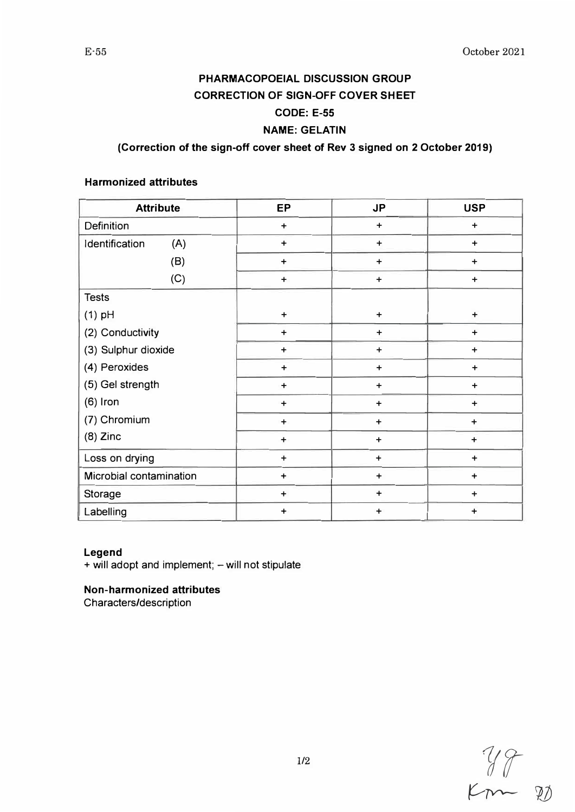# **PHARMACOPOEIAL DISCUSSION GROUP CORRECTION OF SIGN-OFF COVER SHEET CODE: E-55**

## **NAME: GELATIN**

## **(Correction of the sign-off cover sheet of Rev 3 signed on 2 October 2019)**

#### **Harmonized attributes**

| <b>Attribute</b>        | EP        | <b>JP</b> | <b>USP</b> |
|-------------------------|-----------|-----------|------------|
| Definition              | $\ddot{}$ | $\ddot{}$ | $\ddot{}$  |
| Identification<br>(A)   | $\ddot{}$ | $\ddot{}$ | $\ddot{}$  |
| (B)                     | $\ddot{}$ | $\ddot{}$ | $\ddot{}$  |
| (C)                     | $\ddot{}$ | $\ddot{}$ | $\ddot{}$  |
| <b>Tests</b>            |           |           |            |
| $(1)$ pH                | $\ddot{}$ | $\ddot{}$ | $\ddot{}$  |
| (2) Conductivity        | $\ddot{}$ | $\ddot{}$ | $\ddot{}$  |
| (3) Sulphur dioxide     | $\ddot{}$ | $\ddot{}$ | $\ddot{}$  |
| (4) Peroxides           | $\ddot{}$ | $\ddot{}$ | $\ddot{}$  |
| (5) Gel strength        | $\ddot{}$ | $\ddot{}$ | $\ddot{}$  |
| $(6)$ Iron              | $\ddot{}$ | $\ddot{}$ | $\ddot{}$  |
| (7) Chromium            | $\ddot{}$ | $\ddot{}$ | $\ddot{}$  |
| $(8)$ Zinc              | $\ddot{}$ | $\ddot{}$ | $\ddot{}$  |
| Loss on drying          | $\ddot{}$ | $\ddot{}$ | $\ddot{}$  |
| Microbial contamination | $\ddot{}$ | $\ddot{}$ | $\ddot{}$  |
| <b>Storage</b>          | $\ddot{}$ | $\ddot{}$ | $\ddot{}$  |
| Labelling               | $\ddot{}$ | $\ddot{}$ | $\ddot{}$  |

#### **Legend**

+ will adopt and implement; - will not stipulate

**Non-harmonized attributes** 

Characters/description

*11r*   $km-20$